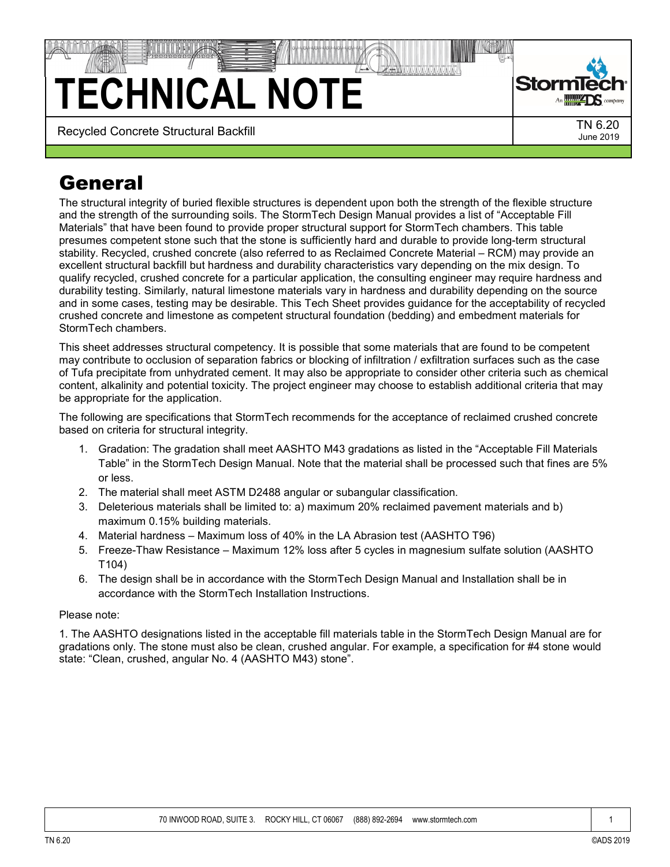## **TECHNICAL NOTE**



Recycled Concrete Structural Backfill **TN 6.20** TN 6.20

## **General**

The structural integrity of buried flexible structures is dependent upon both the strength of the flexible structure and the strength of the surrounding soils. The StormTech Design Manual provides a list of "Acceptable Fill Materials" that have been found to provide proper structural support for StormTech chambers. This table presumes competent stone such that the stone is sufficiently hard and durable to provide long-term structural stability. Recycled, crushed concrete (also referred to as Reclaimed Concrete Material – RCM) may provide an excellent structural backfill but hardness and durability characteristics vary depending on the mix design. To qualify recycled, crushed concrete for a particular application, the consulting engineer may require hardness and durability testing. Similarly, natural limestone materials vary in hardness and durability depending on the source and in some cases, testing may be desirable. This Tech Sheet provides guidance for the acceptability of recycled crushed concrete and limestone as competent structural foundation (bedding) and embedment materials for StormTech chambers.

This sheet addresses structural competency. It is possible that some materials that are found to be competent may contribute to occlusion of separation fabrics or blocking of infiltration / exfiltration surfaces such as the case of Tufa precipitate from unhydrated cement. It may also be appropriate to consider other criteria such as chemical content, alkalinity and potential toxicity. The project engineer may choose to establish additional criteria that may be appropriate for the application.

The following are specifications that StormTech recommends for the acceptance of reclaimed crushed concrete based on criteria for structural integrity.

- 1. Gradation: The gradation shall meet AASHTO M43 gradations as listed in the "Acceptable Fill Materials Table" in the StormTech Design Manual. Note that the material shall be processed such that fines are 5% or less.
- 2. The material shall meet ASTM D2488 angular or subangular classification.
- 3. Deleterious materials shall be limited to: a) maximum 20% reclaimed pavement materials and b) maximum 0.15% building materials.
- 4. Material hardness Maximum loss of 40% in the LA Abrasion test (AASHTO T96)
- 5. Freeze-Thaw Resistance Maximum 12% loss after 5 cycles in magnesium sulfate solution (AASHTO T104)
- 6. The design shall be in accordance with the StormTech Design Manual and Installation shall be in accordance with the StormTech Installation Instructions.

## Please note:

1. The AASHTO designations listed in the acceptable fill materials table in the StormTech Design Manual are for gradations only. The stone must also be clean, crushed angular. For example, a specification for #4 stone would state: "Clean, crushed, angular No. 4 (AASHTO M43) stone".